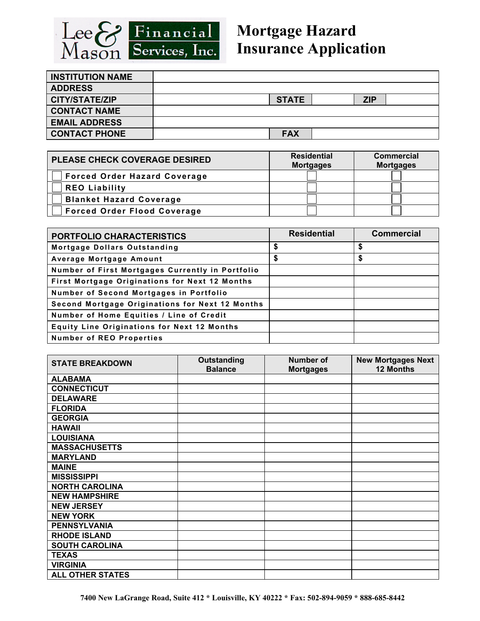

## **Mortgage Hazard Insurance Application**

| <b>INSTITUTION NAME</b> |              |            |  |
|-------------------------|--------------|------------|--|
| <b>ADDRESS</b>          |              |            |  |
| <b>CITY/STATE/ZIP</b>   | <b>STATE</b> | <b>ZIP</b> |  |
| <b>CONTACT NAME</b>     |              |            |  |
| <b>EMAIL ADDRESS</b>    |              |            |  |
| <b>CONTACT PHONE</b>    | <b>FAX</b>   |            |  |

| <b>PLEASE CHECK COVERAGE DESIRED</b> | <b>Residential</b><br><b>Mortgages</b> | <b>Commercial</b><br><b>Mortgages</b> |  |
|--------------------------------------|----------------------------------------|---------------------------------------|--|
| <b>Forced Order Hazard Coverage</b>  |                                        |                                       |  |
| <b>REO Liability</b>                 |                                        |                                       |  |
| <b>Blanket Hazard Coverage</b>       |                                        |                                       |  |
| <b>Forced Order Flood Coverage</b>   |                                        |                                       |  |

| PORTFOLIO CHARACTERISTICS                          | <b>Residential</b> | <b>Commercial</b> |
|----------------------------------------------------|--------------------|-------------------|
| Mortgage Dollars Outstanding                       | \$                 | \$                |
| Average Mortgage Amount                            | \$                 | \$                |
| Number of First Mortgages Currently in Portfolio   |                    |                   |
| First Mortgage Originations for Next 12 Months     |                    |                   |
| Number of Second Mortgages in Portfolio            |                    |                   |
| Second Mortgage Originations for Next 12 Months    |                    |                   |
| Number of Home Equities / Line of Credit           |                    |                   |
| <b>Equity Line Originations for Next 12 Months</b> |                    |                   |
| <b>Number of REO Properties</b>                    |                    |                   |

| <b>STATE BREAKDOWN</b>  | <b>Outstanding</b><br><b>Balance</b> | Number of<br><b>Mortgages</b> | <b>New Mortgages Next</b><br><b>12 Months</b> |
|-------------------------|--------------------------------------|-------------------------------|-----------------------------------------------|
| <b>ALABAMA</b>          |                                      |                               |                                               |
| <b>CONNECTICUT</b>      |                                      |                               |                                               |
| <b>DELAWARE</b>         |                                      |                               |                                               |
| <b>FLORIDA</b>          |                                      |                               |                                               |
| <b>GEORGIA</b>          |                                      |                               |                                               |
| <b>HAWAII</b>           |                                      |                               |                                               |
| <b>LOUISIANA</b>        |                                      |                               |                                               |
| <b>MASSACHUSETTS</b>    |                                      |                               |                                               |
| <b>MARYLAND</b>         |                                      |                               |                                               |
| <b>MAINE</b>            |                                      |                               |                                               |
| <b>MISSISSIPPI</b>      |                                      |                               |                                               |
| <b>NORTH CAROLINA</b>   |                                      |                               |                                               |
| <b>NEW HAMPSHIRE</b>    |                                      |                               |                                               |
| <b>NEW JERSEY</b>       |                                      |                               |                                               |
| <b>NEW YORK</b>         |                                      |                               |                                               |
| <b>PENNSYLVANIA</b>     |                                      |                               |                                               |
| <b>RHODE ISLAND</b>     |                                      |                               |                                               |
| <b>SOUTH CAROLINA</b>   |                                      |                               |                                               |
| <b>TEXAS</b>            |                                      |                               |                                               |
| <b>VIRGINIA</b>         |                                      |                               |                                               |
| <b>ALL OTHER STATES</b> |                                      |                               |                                               |